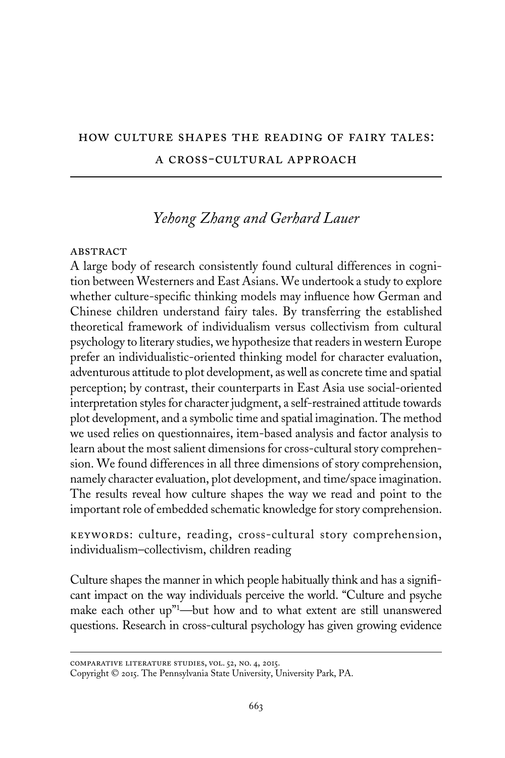# how culture shapes the reading of fairy tales: a cross-cultural approach

# *Yehong Zhang and Gerhard Lauer*

### **ABSTRACT**

A large body of research consistently found cultural differences in cognition between Westerners and East Asians. We undertook a study to explore whether culture-specific thinking models may influence how German and Chinese children understand fairy tales. By transferring the established theoretical framework of individualism versus collectivism from cultural psychology to literary studies, we hypothesize that readers in western Europe prefer an individualistic-oriented thinking model for character evaluation, adventurous attitude to plot development, as well as concrete time and spatial perception; by contrast, their counterparts in East Asia use social-oriented interpretation styles for character judgment, a self-restrained attitude towards plot development, and a symbolic time and spatial imagination. The method we used relies on questionnaires, item-based analysis and factor analysis to learn about the most salient dimensions for cross-cultural story comprehension. We found differences in all three dimensions of story comprehension, namely character evaluation, plot development, and time/space imagination. The results reveal how culture shapes the way we read and point to the important role of embedded schematic knowledge for story comprehension.

keywords: culture, reading, cross-cultural story comprehension, individualism–collectivism, children reading

Culture shapes the manner in which people habitually think and has a significant impact on the way individuals perceive the world. "Culture and psyche make each other up"<sup>1</sup>—but how and to what extent are still unanswered questions. Research in cross-cultural psychology has given growing evidence

comparative literature studies, vol. 52, no. 4, 2015.

Copyright © 2015. The Pennsylvania State University, University Park, PA.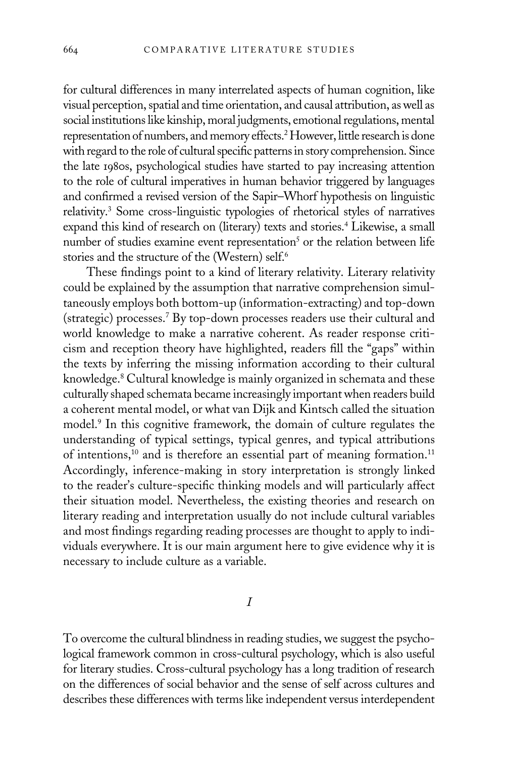for cultural differences in many interrelated aspects of human cognition, like visual perception, spatial and time orientation, and causal attribution, as well as social institutions like kinship, moral judgments, emotional regulations, mental representation of numbers, and memory effects.2 However, little research is done with regard to the role of cultural specific patterns in story comprehension. Since the late 1980s, psychological studies have started to pay increasing attention to the role of cultural imperatives in human behavior triggered by languages and confirmed a revised version of the Sapir–Whorf hypothesis on linguistic relativity.<sup>3</sup> Some cross-linguistic typologies of rhetorical styles of narratives expand this kind of research on (literary) texts and stories.<sup>4</sup> Likewise, a small number of studies examine event representation<sup>5</sup> or the relation between life stories and the structure of the (Western) self.6

These findings point to a kind of literary relativity. Literary relativity could be explained by the assumption that narrative comprehension simultaneously employs both bottom-up (information-extracting) and top-down (strategic) processes.7 By top-down processes readers use their cultural and world knowledge to make a narrative coherent. As reader response criticism and reception theory have highlighted, readers fill the "gaps" within the texts by inferring the missing information according to their cultural knowledge.<sup>8</sup> Cultural knowledge is mainly organized in schemata and these culturally shaped schemata became increasingly important when readers build a coherent mental model, or what van Dijk and Kintsch called the situation model.9 In this cognitive framework, the domain of culture regulates the understanding of typical settings, typical genres, and typical attributions of intentions,<sup>10</sup> and is therefore an essential part of meaning formation.<sup>11</sup> Accordingly, inference-making in story interpretation is strongly linked to the reader's culture-specific thinking models and will particularly affect their situation model. Nevertheless, the existing theories and research on literary reading and interpretation usually do not include cultural variables and most findings regarding reading processes are thought to apply to individuals everywhere. It is our main argument here to give evidence why it is necessary to include culture as a variable.

*I*

To overcome the cultural blindness in reading studies, we suggest the psychological framework common in cross-cultural psychology, which is also useful for literary studies. Cross-cultural psychology has a long tradition of research on the differences of social behavior and the sense of self across cultures and describes these differences with terms like independent versus interdependent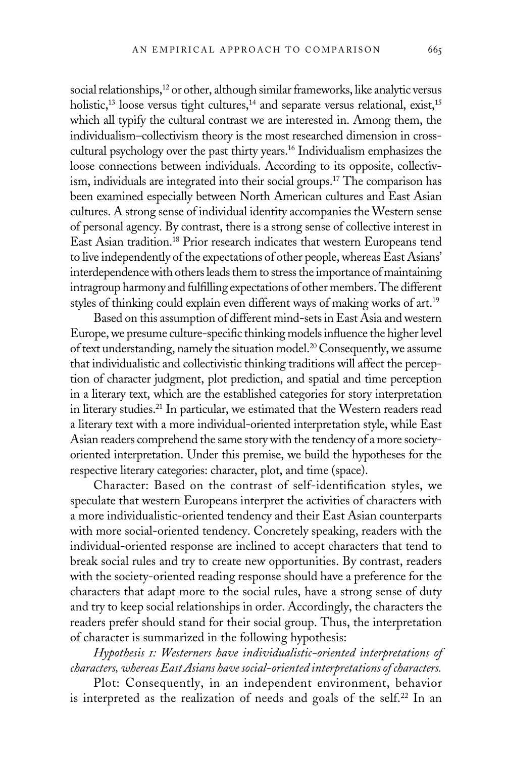social relationships,<sup>12</sup> or other, although similar frameworks, like analytic versus holistic,<sup>13</sup> loose versus tight cultures,<sup>14</sup> and separate versus relational, exist,<sup>15</sup> which all typify the cultural contrast we are interested in. Among them, the individualism–collectivism theory is the most researched dimension in crosscultural psychology over the past thirty years.16 Individualism emphasizes the loose connections between individuals. According to its opposite, collectivism, individuals are integrated into their social groups.17 The comparison has been examined especially between North American cultures and East Asian cultures. A strong sense of individual identity accompanies the Western sense of personal agency. By contrast, there is a strong sense of collective interest in East Asian tradition.18 Prior research indicates that western Europeans tend to live independently of the expectations of other people, whereas East Asians' interdependence with others leads them to stress the importance of maintaining intragroup harmony and fulfilling expectations of other members. The different styles of thinking could explain even different ways of making works of art.19

Based on this assumption of different mind-sets in East Asia and western Europe, we presume culture-specific thinking models influence the higher level of text understanding, namely the situation model.20 Consequently, we assume that individualistic and collectivistic thinking traditions will affect the perception of character judgment, plot prediction, and spatial and time perception in a literary text, which are the established categories for story interpretation in literary studies.21 In particular, we estimated that the Western readers read a literary text with a more individual-oriented interpretation style, while East Asian readers comprehend the same story with the tendency of a more societyoriented interpretation. Under this premise, we build the hypotheses for the respective literary categories: character, plot, and time (space).

Character: Based on the contrast of self-identification styles, we speculate that western Europeans interpret the activities of characters with a more individualistic-oriented tendency and their East Asian counterparts with more social-oriented tendency. Concretely speaking, readers with the individual-oriented response are inclined to accept characters that tend to break social rules and try to create new opportunities. By contrast, readers with the society-oriented reading response should have a preference for the characters that adapt more to the social rules, have a strong sense of duty and try to keep social relationships in order. Accordingly, the characters the readers prefer should stand for their social group. Thus, the interpretation of character is summarized in the following hypothesis:

*Hypothesis 1: Westerners have individualistic-oriented interpretations of characters, whereas East Asians have social-oriented interpretations of characters.*

Plot: Consequently, in an independent environment, behavior is interpreted as the realization of needs and goals of the self.22 In an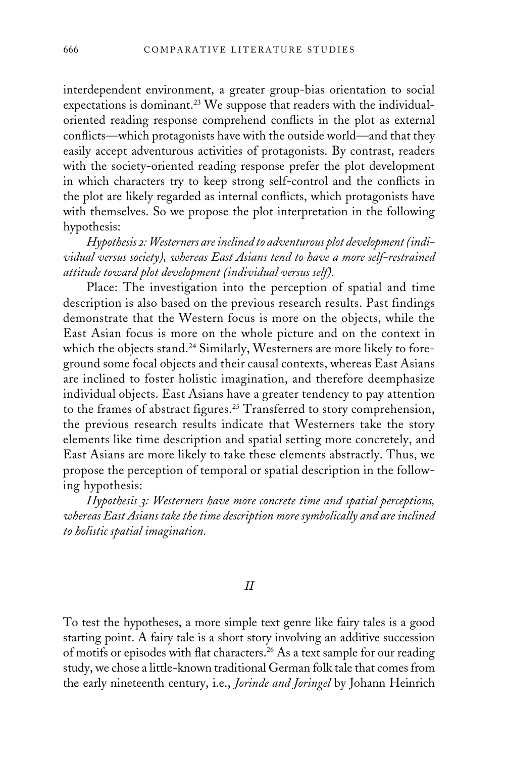interdependent environment, a greater group-bias orientation to social expectations is dominant.<sup>23</sup> We suppose that readers with the individualoriented reading response comprehend conflicts in the plot as external conflicts—which protagonists have with the outside world—and that they easily accept adventurous activities of protagonists. By contrast, readers with the society-oriented reading response prefer the plot development in which characters try to keep strong self-control and the conflicts in the plot are likely regarded as internal conflicts, which protagonists have with themselves. So we propose the plot interpretation in the following hypothesis:

*Hypothesis 2: Westerners are inclined to adventurous plot development (individual versus society), whereas East Asians tend to have a more self-restrained attitude toward plot development (individual versus self).*

Place: The investigation into the perception of spatial and time description is also based on the previous research results. Past findings demonstrate that the Western focus is more on the objects, while the East Asian focus is more on the whole picture and on the context in which the objects stand.<sup>24</sup> Similarly, Westerners are more likely to foreground some focal objects and their causal contexts, whereas East Asians are inclined to foster holistic imagination, and therefore deemphasize individual objects. East Asians have a greater tendency to pay attention to the frames of abstract figures.25 Transferred to story comprehension, the previous research results indicate that Westerners take the story elements like time description and spatial setting more concretely, and East Asians are more likely to take these elements abstractly. Thus, we propose the perception of temporal or spatial description in the following hypothesis:

*Hypothesis 3: Westerners have more concrete time and spatial perceptions, whereas East Asians take the time description more symbolically and are inclined to holistic spatial imagination.*

*II*

To test the hypotheses, a more simple text genre like fairy tales is a good starting point. A fairy tale is a short story involving an additive succession of motifs or episodes with flat characters.26 As a text sample for our reading study, we chose a little-known traditional German folk tale that comes from the early nineteenth century, i.e., *Jorinde and Joringel* by Johann Heinrich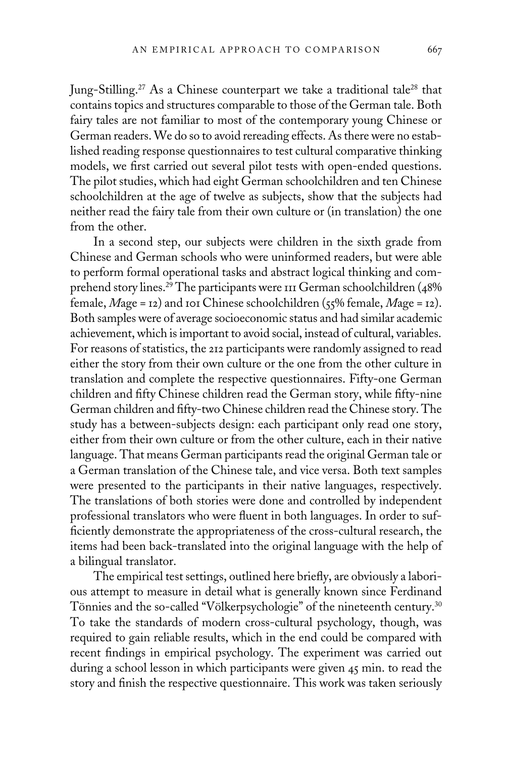Jung-Stilling.<sup>27</sup> As a Chinese counterpart we take a traditional tale<sup>28</sup> that contains topics and structures comparable to those of the German tale. Both fairy tales are not familiar to most of the contemporary young Chinese or German readers. We do so to avoid rereading effects. As there were no established reading response questionnaires to test cultural comparative thinking models, we first carried out several pilot tests with open-ended questions. The pilot studies, which had eight German schoolchildren and ten Chinese schoolchildren at the age of twelve as subjects, show that the subjects had neither read the fairy tale from their own culture or (in translation) the one from the other.

In a second step, our subjects were children in the sixth grade from Chinese and German schools who were uninformed readers, but were able to perform formal operational tasks and abstract logical thinking and comprehend story lines.<sup>29</sup> The participants were 111 German schoolchildren (48%) female, *M*age = 12) and 101 Chinese schoolchildren (55% female, *M*age = 12). Both samples were of average socioeconomic status and had similar academic achievement, which is important to avoid social, instead of cultural, variables. For reasons of statistics, the 212 participants were randomly assigned to read either the story from their own culture or the one from the other culture in translation and complete the respective questionnaires. Fifty-one German children and fifty Chinese children read the German story, while fifty-nine German children and fifty-two Chinese children read the Chinese story. The study has a between-subjects design: each participant only read one story, either from their own culture or from the other culture, each in their native language. That means German participants read the original German tale or a German translation of the Chinese tale, and vice versa. Both text samples were presented to the participants in their native languages, respectively. The translations of both stories were done and controlled by independent professional translators who were fluent in both languages. In order to sufficiently demonstrate the appropriateness of the cross-cultural research, the items had been back-translated into the original language with the help of a bilingual translator.

The empirical test settings, outlined here briefly, are obviously a laborious attempt to measure in detail what is generally known since Ferdinand Tönnies and the so-called "Völkerpsychologie" of the nineteenth century.30 To take the standards of modern cross-cultural psychology, though, was required to gain reliable results, which in the end could be compared with recent findings in empirical psychology. The experiment was carried out during a school lesson in which participants were given 45 min. to read the story and finish the respective questionnaire. This work was taken seriously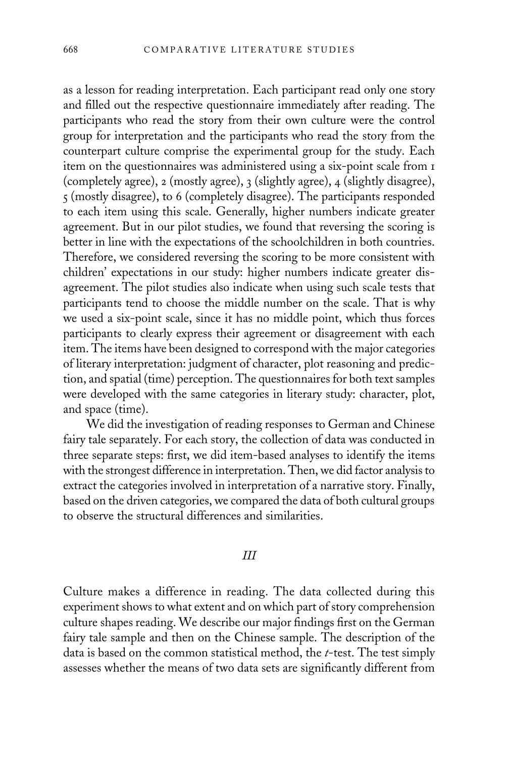as a lesson for reading interpretation. Each participant read only one story and filled out the respective questionnaire immediately after reading. The participants who read the story from their own culture were the control group for interpretation and the participants who read the story from the counterpart culture comprise the experimental group for the study. Each item on the questionnaires was administered using a six-point scale from 1 (completely agree), 2 (mostly agree), 3 (slightly agree), 4 (slightly disagree), 5 (mostly disagree), to 6 (completely disagree). The participants responded to each item using this scale. Generally, higher numbers indicate greater agreement. But in our pilot studies, we found that reversing the scoring is better in line with the expectations of the schoolchildren in both countries. Therefore, we considered reversing the scoring to be more consistent with children' expectations in our study: higher numbers indicate greater disagreement. The pilot studies also indicate when using such scale tests that participants tend to choose the middle number on the scale. That is why we used a six-point scale, since it has no middle point, which thus forces participants to clearly express their agreement or disagreement with each item. The items have been designed to correspond with the major categories of literary interpretation: judgment of character, plot reasoning and prediction, and spatial (time) perception. The questionnaires for both text samples were developed with the same categories in literary study: character, plot, and space (time).

We did the investigation of reading responses to German and Chinese fairy tale separately. For each story, the collection of data was conducted in three separate steps: first, we did item-based analyses to identify the items with the strongest difference in interpretation. Then, we did factor analysis to extract the categories involved in interpretation of a narrative story. Finally, based on the driven categories, we compared the data of both cultural groups to observe the structural differences and similarities.

### *III*

Culture makes a difference in reading. The data collected during this experiment shows to what extent and on which part of story comprehension culture shapes reading. We describe our major findings first on the German fairy tale sample and then on the Chinese sample. The description of the data is based on the common statistical method, the *t*-test. The test simply assesses whether the means of two data sets are significantly different from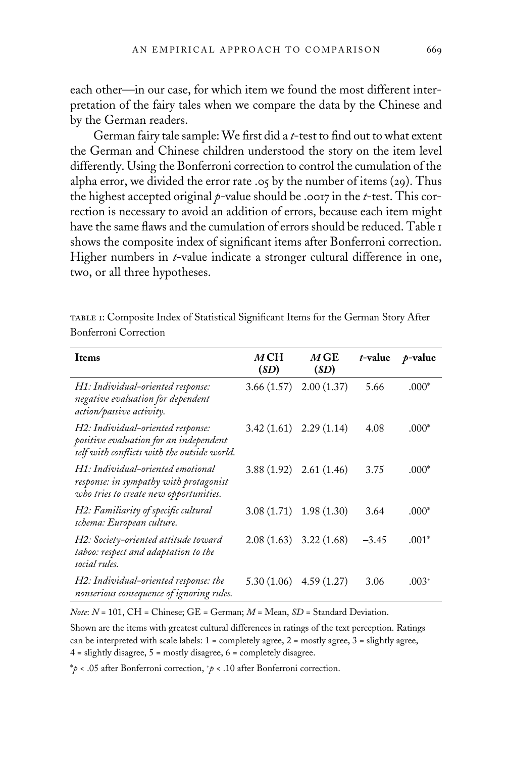each other—in our case, for which item we found the most different interpretation of the fairy tales when we compare the data by the Chinese and by the German readers.

German fairy tale sample: We first did a *t*-test to find out to what extent the German and Chinese children understood the story on the item level differently. Using the Bonferroni correction to control the cumulation of the alpha error, we divided the error rate .05 by the number of items (29). Thus the highest accepted original *p*-value should be .0017 in the *t*-test. This correction is necessary to avoid an addition of errors, because each item might have the same flaws and the cumulation of errors should be reduced. Table I shows the composite index of significant items after Bonferroni correction. Higher numbers in *t*-value indicate a stronger cultural difference in one, two, or all three hypotheses.

| <b>Items</b>                                                                                                               | MCH<br>(SD)               | MGE<br>(SD) | t-value | $p$ -value |
|----------------------------------------------------------------------------------------------------------------------------|---------------------------|-------------|---------|------------|
| H1: Individual-oriented response:<br>negative evaluation for dependent<br>action/passive activity.                         | 3.66(1.57)                | 2.00(1.37)  | 5.66    | $.000*$    |
| H2: Individual-oriented response:<br>positive evaluation for an independent<br>self with conflicts with the outside world. | 3.42(1.61)                | 2.29(1.14)  | 4.08    | $.000*$    |
| H1: Individual-oriented emotional<br>response: in sympathy with protagonist<br>who tries to create new opportunities.      | 3.88(1.92)                | 2.61(1.46)  | 3.75    | $.000*$    |
| H2: Familiarity of specific cultural<br>schema: European culture.                                                          | 3.08(1.71)                | 1.98(1.30)  | 3.64    | $.000*$    |
| H2: Society-oriented attitude toward<br>taboo: respect and adaptation to the<br>social rules.                              | $2.08(1.63)$ $3.22(1.68)$ |             | $-3.45$ | $.001*$    |
| H2: Individual-oriented response: the<br>nonserious consequence of ignoring rules.                                         | 5.30 (1.06)               | 4.59(1.27)  | 3.06    | $.003+$    |

table 1: Composite Index of Statistical Significant Items for the German Story After Bonferroni Correction

*Note*: *N* = 101, CH = Chinese; GE = German; *M* = Mean, *SD* = Standard Deviation.

Shown are the items with greatest cultural differences in ratings of the text perception. Ratings can be interpreted with scale labels:  $1 =$  completely agree,  $2 =$  mostly agree,  $3 =$  slightly agree,  $4 =$  slightly disagree,  $5 =$  mostly disagree,  $6 =$  completely disagree.

\**p* < .05 after Bonferroni correction, + *p* < .10 after Bonferroni correction.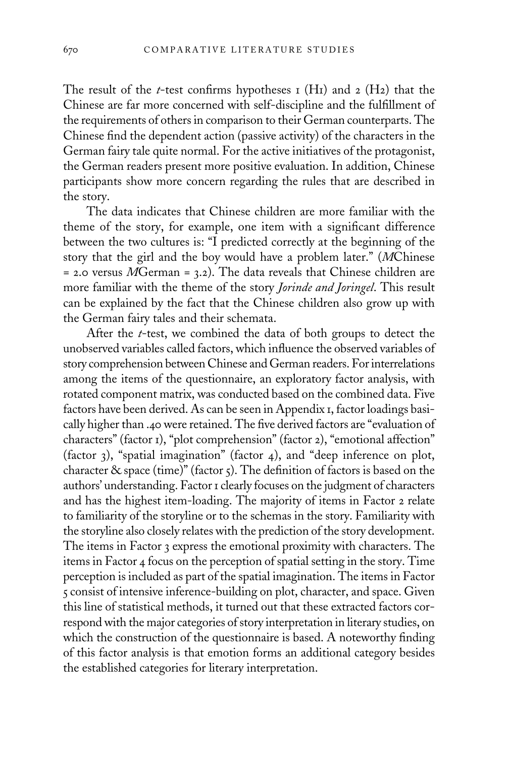The result of the *t*-test confirms hypotheses  $I(HI)$  and  $2(H2)$  that the Chinese are far more concerned with self-discipline and the fulfillment of the requirements of others in comparison to their German counterparts. The Chinese find the dependent action (passive activity) of the characters in the German fairy tale quite normal. For the active initiatives of the protagonist, the German readers present more positive evaluation. In addition, Chinese participants show more concern regarding the rules that are described in the story.

The data indicates that Chinese children are more familiar with the theme of the story, for example, one item with a significant difference between the two cultures is: "I predicted correctly at the beginning of the story that the girl and the boy would have a problem later." (*M*Chinese = 2.0 versus *M*German = 3.2). The data reveals that Chinese children are more familiar with the theme of the story *Jorinde and Joringel*. This result can be explained by the fact that the Chinese children also grow up with the German fairy tales and their schemata.

After the *t*-test, we combined the data of both groups to detect the unobserved variables called factors, which influence the observed variables of story comprehension between Chinese and German readers. For interrelations among the items of the questionnaire, an exploratory factor analysis, with rotated component matrix, was conducted based on the combined data. Five factors have been derived. As can be seen in Appendix 1, factor loadings basically higher than .40 were retained. The five derived factors are "evaluation of characters" (factor 1), "plot comprehension" (factor 2), "emotional affection" (factor 3), "spatial imagination" (factor 4), and "deep inference on plot, character & space (time)" (factor  $\varsigma$ ). The definition of factors is based on the authors' understanding. Factor 1 clearly focuses on the judgment of characters and has the highest item-loading. The majority of items in Factor 2 relate to familiarity of the storyline or to the schemas in the story. Familiarity with the storyline also closely relates with the prediction of the story development. The items in Factor 3 express the emotional proximity with characters. The items in Factor 4 focus on the perception of spatial setting in the story. Time perception is included as part of the spatial imagination. The items in Factor 5 consist of intensive inference-building on plot, character, and space. Given this line of statistical methods, it turned out that these extracted factors correspond with the major categories of story interpretation in literary studies, on which the construction of the questionnaire is based. A noteworthy finding of this factor analysis is that emotion forms an additional category besides the established categories for literary interpretation.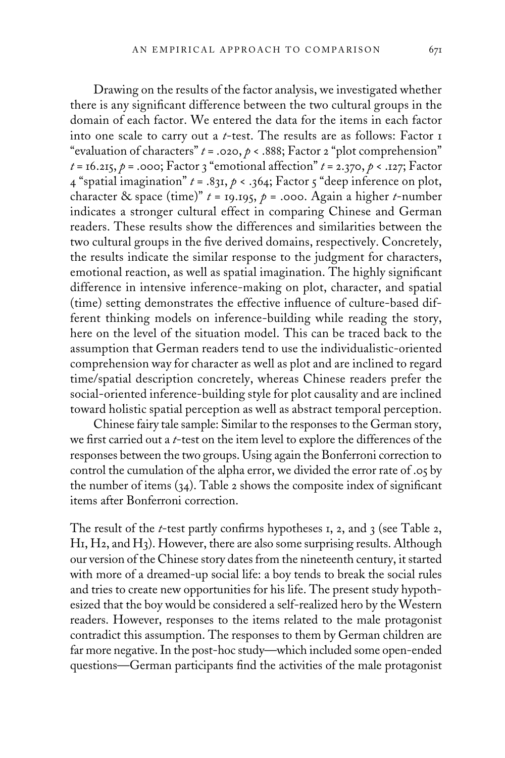Drawing on the results of the factor analysis, we investigated whether there is any significant difference between the two cultural groups in the domain of each factor. We entered the data for the items in each factor into one scale to carry out a *t*-test. The results are as follows: Factor 1 "evaluation of characters"  $t = .020$ ,  $p < .888$ ; Factor 2 "plot comprehension" *t* = 16.215, *p* = .000; Factor 3 "emotional affection" *t* = 2.370, *p* < .127; Factor 4 "spatial imagination"  $t = .831$ ,  $p < .364$ ; Factor 5 "deep inference on plot, character & space (time)"  $t = 19.195$ ,  $p = .000$ . Again a higher  $t$ -number indicates a stronger cultural effect in comparing Chinese and German readers. These results show the differences and similarities between the two cultural groups in the five derived domains, respectively. Concretely, the results indicate the similar response to the judgment for characters, emotional reaction, as well as spatial imagination. The highly significant difference in intensive inference-making on plot, character, and spatial (time) setting demonstrates the effective influence of culture-based different thinking models on inference-building while reading the story, here on the level of the situation model. This can be traced back to the assumption that German readers tend to use the individualistic-oriented comprehension way for character as well as plot and are inclined to regard time/spatial description concretely, whereas Chinese readers prefer the social-oriented inference-building style for plot causality and are inclined toward holistic spatial perception as well as abstract temporal perception.

Chinese fairy tale sample: Similar to the responses to the German story, we first carried out a *t*-test on the item level to explore the differences of the responses between the two groups. Using again the Bonferroni correction to control the cumulation of the alpha error, we divided the error rate of .05 by the number of items  $(34)$ . Table 2 shows the composite index of significant items after Bonferroni correction.

The result of the *t*-test partly confirms hypotheses 1, 2, and 3 (see Table 2, H<sub>1</sub>, H<sub>2</sub>, and H<sub>3</sub>). However, there are also some surprising results. Although our version of the Chinese story dates from the nineteenth century, it started with more of a dreamed-up social life: a boy tends to break the social rules and tries to create new opportunities for his life. The present study hypothesized that the boy would be considered a self-realized hero by the Western readers. However, responses to the items related to the male protagonist contradict this assumption. The responses to them by German children are far more negative. In the post-hoc study—which included some open-ended questions—German participants find the activities of the male protagonist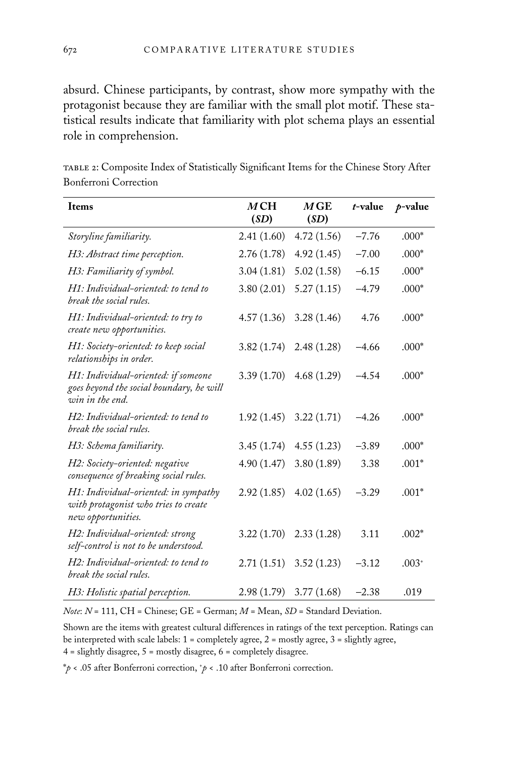absurd. Chinese participants, by contrast, show more sympathy with the protagonist because they are familiar with the small plot motif. These statistical results indicate that familiarity with plot schema plays an essential role in comprehension.

| <b>Items</b>                                                                                       | MCH<br>(SD) | MGE<br>(SD)               | t-value | $p$ -value |
|----------------------------------------------------------------------------------------------------|-------------|---------------------------|---------|------------|
| Storyline familiarity.                                                                             | 2.41(1.60)  | 4.72(1.56)                | $-7.76$ | $.000*$    |
| H3: Abstract time perception.                                                                      | 2.76(1.78)  | 4.92(1.45)                | $-7.00$ | $.000*$    |
| H3: Familiarity of symbol.                                                                         | 3.04(1.81)  | 5.02(1.58)                | $-6.15$ | $.000*$    |
| H1: Individual-oriented: to tend to<br>break the social rules.                                     | 3.80(2.01)  | 5.27(1.15)                | $-4.79$ | $.000*$    |
| H1: Individual-oriented: to try to<br>create new opportunities.                                    | 4.57(1.36)  | 3.28(1.46)                | 4.76    | $.000*$    |
| H1: Society-oriented: to keep social<br>relationships in order.                                    | 3.82(1.74)  | 2.48(1.28)                | $-4.66$ | $.000*$    |
| H1: Individual-oriented: if someone<br>goes beyond the social boundary, he will<br>win in the end. | 3.39(1.70)  | 4.68(1.29)                | $-4.54$ | $.000*$    |
| H2: Individual-oriented: to tend to<br>break the social rules.                                     | 1.92 (1.45) | 3.22(1.71)                | $-4.26$ | $.000*$    |
| H3: Schema familiarity.                                                                            | 3.45(1.74)  | 4.55(1.23)                | $-3.89$ | $.000*$    |
| H2: Society-oriented: negative<br>consequence of breaking social rules.                            | 4.90(1.47)  | 3.80(1.89)                | 3.38    | $.001*$    |
| H1: Individual-oriented: in sympathy<br>with protagonist who tries to create<br>new opportunities. | 2.92(1.85)  | 4.02(1.65)                | $-3.29$ | $.001*$    |
| H2: Individual-oriented: strong<br>self-control is not to be understood.                           |             | $3.22(1.70)$ $2.33(1.28)$ | 3.11    | $.002*$    |
| H2: Individual-oriented: to tend to<br>break the social rules.                                     | 2.71(1.51)  | 3.52(1.23)                | $-3.12$ | $.003*$    |
| H3: Holistic spatial perception.                                                                   | 2.98(1.79)  | 3.77(1.68)                | $-2.38$ | .019       |

table 2: Composite Index of Statistically Significant Items for the Chinese Story After Bonferroni Correction

*Note*: *N* = 111, CH = Chinese; GE = German; *M* = Mean, *SD* = Standard Deviation.

Shown are the items with greatest cultural differences in ratings of the text perception. Ratings can be interpreted with scale labels:  $1 =$  completely agree,  $2 =$  mostly agree,  $3 =$  slightly agree,  $4 =$  slightly disagree,  $5 =$  mostly disagree,  $6 =$  completely disagree.

\**p* < .05 after Bonferroni correction, + *p* < .10 after Bonferroni correction.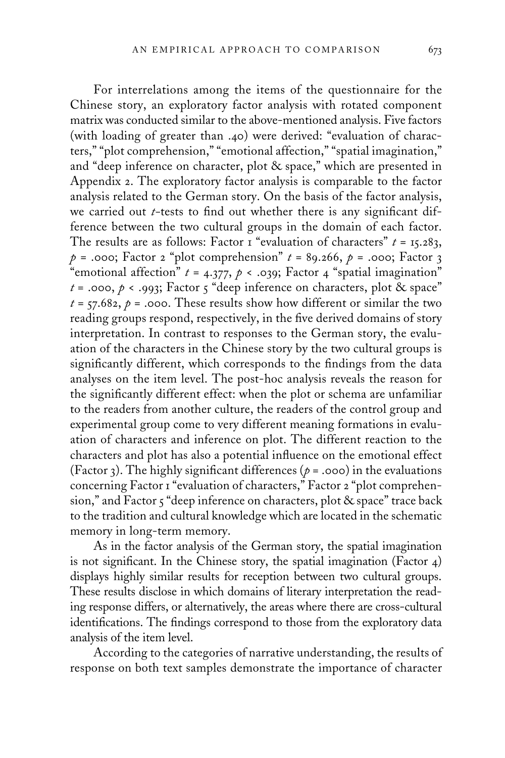For interrelations among the items of the questionnaire for the Chinese story, an exploratory factor analysis with rotated component matrix was conducted similar to the above-mentioned analysis. Five factors (with loading of greater than .40) were derived: "evaluation of characters," "plot comprehension," "emotional affection," "spatial imagination," and "deep inference on character, plot & space," which are presented in Appendix 2. The exploratory factor analysis is comparable to the factor analysis related to the German story. On the basis of the factor analysis, we carried out *t-*tests to find out whether there is any significant difference between the two cultural groups in the domain of each factor. The results are as follows: Factor  $\mathbf{r}$  "evaluation of characters"  $t = \mathbf{r}$ ,  $\mathbf{r}$ ,  $\mathbf{r}$  $p = .000$ ; Factor 2 "plot comprehension"  $t = 89.266$ ,  $p = .000$ ; Factor 3 "emotional affection"  $t = 4.377$ ,  $p < .039$ ; Factor 4 "spatial imagination"  $t = .000, p < .993$ ; Factor 5 "deep inference on characters, plot & space"  $t = 57.682$ ,  $p = .000$ . These results show how different or similar the two reading groups respond, respectively, in the five derived domains of story interpretation. In contrast to responses to the German story, the evaluation of the characters in the Chinese story by the two cultural groups is significantly different, which corresponds to the findings from the data analyses on the item level. The post-hoc analysis reveals the reason for the significantly different effect: when the plot or schema are unfamiliar to the readers from another culture, the readers of the control group and experimental group come to very different meaning formations in evaluation of characters and inference on plot. The different reaction to the characters and plot has also a potential influence on the emotional effect (Factor 3). The highly significant differences ( $p = .000$ ) in the evaluations concerning Factor 1 "evaluation of characters," Factor 2 "plot comprehension," and Factor 5 "deep inference on characters, plot & space" trace back to the tradition and cultural knowledge which are located in the schematic memory in long-term memory.

As in the factor analysis of the German story, the spatial imagination is not significant. In the Chinese story, the spatial imagination (Factor 4) displays highly similar results for reception between two cultural groups. These results disclose in which domains of literary interpretation the reading response differs, or alternatively, the areas where there are cross-cultural identifications. The findings correspond to those from the exploratory data analysis of the item level.

According to the categories of narrative understanding, the results of response on both text samples demonstrate the importance of character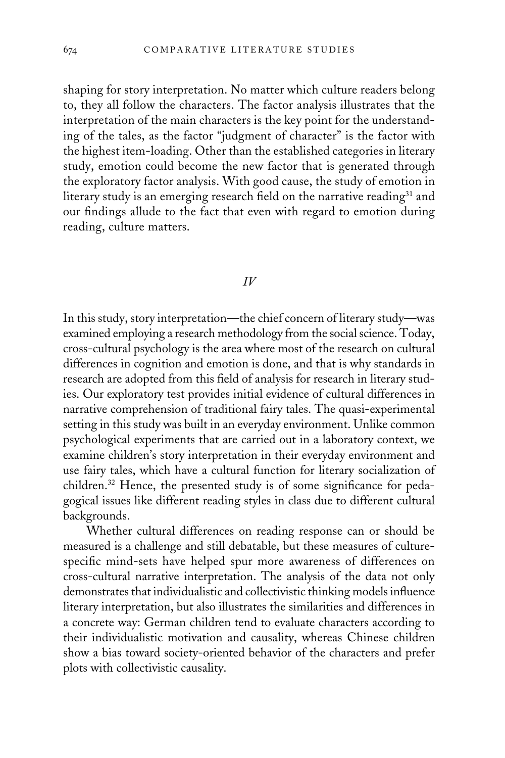shaping for story interpretation. No matter which culture readers belong to, they all follow the characters. The factor analysis illustrates that the interpretation of the main characters is the key point for the understanding of the tales, as the factor "judgment of character" is the factor with the highest item-loading. Other than the established categories in literary study, emotion could become the new factor that is generated through the exploratory factor analysis. With good cause, the study of emotion in literary study is an emerging research field on the narrative reading<sup>31</sup> and our findings allude to the fact that even with regard to emotion during reading, culture matters.

### *IV*

In this study, story interpretation—the chief concern of literary study—was examined employing a research methodology from the social science. Today, cross-cultural psychology is the area where most of the research on cultural differences in cognition and emotion is done, and that is why standards in research are adopted from this field of analysis for research in literary studies. Our exploratory test provides initial evidence of cultural differences in narrative comprehension of traditional fairy tales. The quasi-experimental setting in this study was built in an everyday environment. Unlike common psychological experiments that are carried out in a laboratory context, we examine children's story interpretation in their everyday environment and use fairy tales, which have a cultural function for literary socialization of children.32 Hence, the presented study is of some significance for pedagogical issues like different reading styles in class due to different cultural backgrounds.

Whether cultural differences on reading response can or should be measured is a challenge and still debatable, but these measures of culturespecific mind-sets have helped spur more awareness of differences on cross-cultural narrative interpretation. The analysis of the data not only demonstrates that individualistic and collectivistic thinking models influence literary interpretation, but also illustrates the similarities and differences in a concrete way: German children tend to evaluate characters according to their individualistic motivation and causality, whereas Chinese children show a bias toward society-oriented behavior of the characters and prefer plots with collectivistic causality.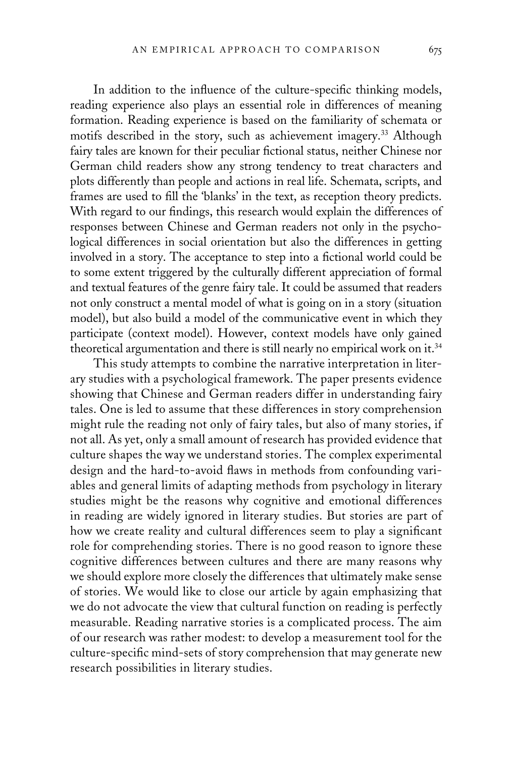In addition to the influence of the culture-specific thinking models, reading experience also plays an essential role in differences of meaning formation. Reading experience is based on the familiarity of schemata or motifs described in the story, such as achievement imagery.<sup>33</sup> Although fairy tales are known for their peculiar fictional status, neither Chinese nor German child readers show any strong tendency to treat characters and plots differently than people and actions in real life. Schemata, scripts, and frames are used to fill the 'blanks' in the text, as reception theory predicts. With regard to our findings, this research would explain the differences of responses between Chinese and German readers not only in the psychological differences in social orientation but also the differences in getting involved in a story. The acceptance to step into a fictional world could be to some extent triggered by the culturally different appreciation of formal and textual features of the genre fairy tale. It could be assumed that readers not only construct a mental model of what is going on in a story (situation model), but also build a model of the communicative event in which they participate (context model). However, context models have only gained theoretical argumentation and there is still nearly no empirical work on it.34

This study attempts to combine the narrative interpretation in literary studies with a psychological framework. The paper presents evidence showing that Chinese and German readers differ in understanding fairy tales. One is led to assume that these differences in story comprehension might rule the reading not only of fairy tales, but also of many stories, if not all. As yet, only a small amount of research has provided evidence that culture shapes the way we understand stories. The complex experimental design and the hard-to-avoid flaws in methods from confounding variables and general limits of adapting methods from psychology in literary studies might be the reasons why cognitive and emotional differences in reading are widely ignored in literary studies. But stories are part of how we create reality and cultural differences seem to play a significant role for comprehending stories. There is no good reason to ignore these cognitive differences between cultures and there are many reasons why we should explore more closely the differences that ultimately make sense of stories. We would like to close our article by again emphasizing that we do not advocate the view that cultural function on reading is perfectly measurable. Reading narrative stories is a complicated process. The aim of our research was rather modest: to develop a measurement tool for the culture-specific mind-sets of story comprehension that may generate new research possibilities in literary studies.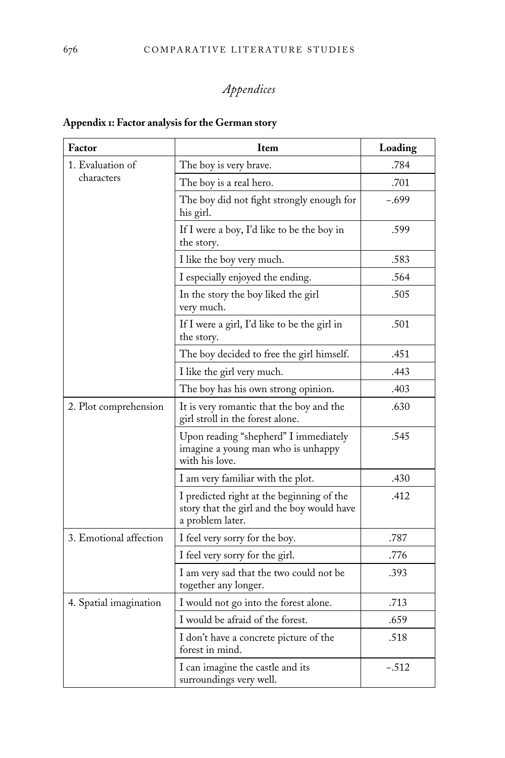# *Appendices*

## **Appendix 1: Factor analysis for the German story**

| Factor                 | Item                                                                                                        | Loading |
|------------------------|-------------------------------------------------------------------------------------------------------------|---------|
| 1. Evaluation of       | The boy is very brave.                                                                                      | .784    |
| characters             | The boy is a real hero.                                                                                     | .701    |
|                        | The boy did not fight strongly enough for<br>his girl.                                                      | $-.699$ |
|                        | If I were a boy, I'd like to be the boy in<br>the story.                                                    | .599    |
|                        | I like the boy very much.                                                                                   | .583    |
|                        | I especially enjoyed the ending.                                                                            | .564    |
|                        | In the story the boy liked the girl<br>very much.                                                           | .505    |
|                        | If I were a girl, I'd like to be the girl in<br>the story.                                                  | .501    |
|                        | The boy decided to free the girl himself.                                                                   | .451    |
|                        | I like the girl very much.                                                                                  | .443    |
|                        | The boy has his own strong opinion.                                                                         | .403    |
| 2. Plot comprehension  | It is very romantic that the boy and the<br>girl stroll in the forest alone.                                | .630    |
|                        | Upon reading "shepherd" I immediately<br>imagine a young man who is unhappy<br>with his love.               | .545    |
|                        | I am very familiar with the plot.                                                                           | .430    |
|                        | I predicted right at the beginning of the<br>story that the girl and the boy would have<br>a problem later. | .412    |
| 3. Emotional affection | I feel very sorry for the boy.                                                                              | .787    |
|                        | I feel very sorry for the girl.                                                                             | .776    |
|                        | I am very sad that the two could not be<br>together any longer.                                             | .393    |
| 4. Spatial imagination | I would not go into the forest alone.                                                                       | .713    |
|                        | I would be afraid of the forest.                                                                            | .659    |
|                        | I don't have a concrete picture of the<br>forest in mind.                                                   | .518    |
|                        | I can imagine the castle and its<br>surroundings very well.                                                 | $-.512$ |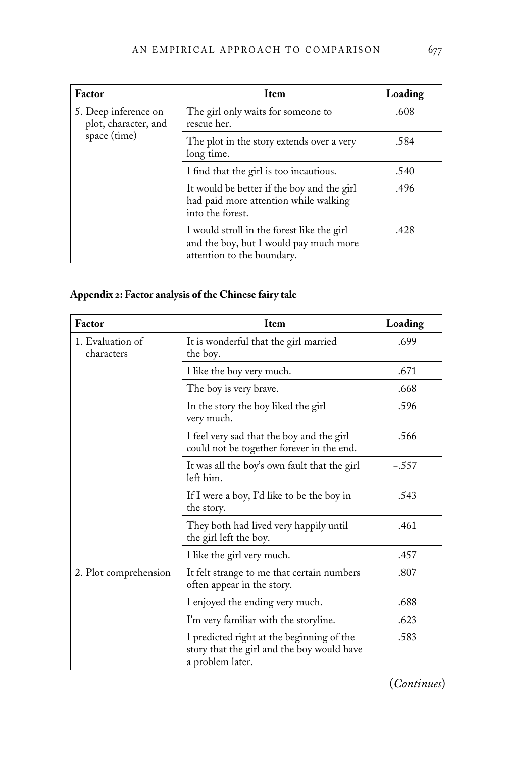| Factor                                       | <b>Item</b>                                                                                                        | Loading |
|----------------------------------------------|--------------------------------------------------------------------------------------------------------------------|---------|
| 5. Deep inference on<br>plot, character, and | The girl only waits for someone to<br>rescue her.                                                                  | .608    |
| space (time)                                 | The plot in the story extends over a very<br>long time.                                                            | .584    |
|                                              | I find that the girl is too incautious.                                                                            | .540    |
|                                              | It would be better if the boy and the girl<br>had paid more attention while walking<br>into the forest.            | .496    |
|                                              | I would stroll in the forest like the girl<br>and the boy, but I would pay much more<br>attention to the boundary. | .428    |

## **Appendix 2: Factor analysis of the Chinese fairy tale**

| Factor                         | <b>Item</b>                                                                                                 | Loading |
|--------------------------------|-------------------------------------------------------------------------------------------------------------|---------|
| 1. Evaluation of<br>characters | It is wonderful that the girl married<br>the boy.                                                           | .699    |
|                                | I like the boy very much.                                                                                   | .671    |
|                                | The boy is very brave.                                                                                      | .668    |
|                                | In the story the boy liked the girl<br>very much.                                                           | .596    |
|                                | I feel very sad that the boy and the girl<br>could not be together forever in the end.                      | .566    |
|                                | It was all the boy's own fault that the girl<br>left him.                                                   | $-.557$ |
|                                | If I were a boy, I'd like to be the boy in<br>the story.                                                    | .543    |
|                                | They both had lived very happily until<br>the girl left the boy.                                            | .461    |
|                                | I like the girl very much.                                                                                  | .457    |
| 2. Plot comprehension          | It felt strange to me that certain numbers<br>often appear in the story.                                    | .807    |
|                                | I enjoyed the ending very much.                                                                             | .688    |
|                                | I'm very familiar with the storyline.                                                                       | .623    |
|                                | I predicted right at the beginning of the<br>story that the girl and the boy would have<br>a problem later. | .583    |

(*Continues*)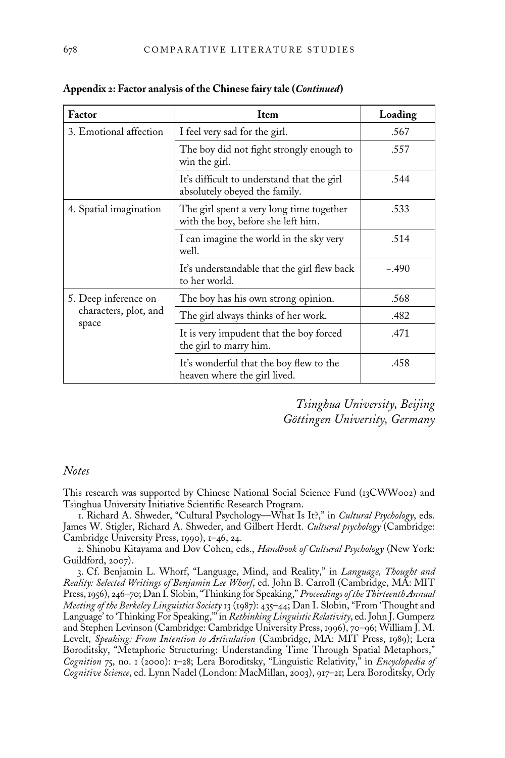| Factor                         | Item                                                                           | Loading |
|--------------------------------|--------------------------------------------------------------------------------|---------|
| 3. Emotional affection         | I feel very sad for the girl.                                                  | .567    |
|                                | The boy did not fight strongly enough to<br>win the girl.                      | .557    |
|                                | It's difficult to understand that the girl<br>absolutely obeyed the family.    | .544    |
| 4. Spatial imagination         | The girl spent a very long time together<br>with the boy, before she left him. | .533    |
|                                | I can imagine the world in the sky very<br>well.                               | .514    |
|                                | It's understandable that the girl flew back<br>to her world.                   | -.490   |
| 5. Deep inference on           | The boy has his own strong opinion.                                            | .568    |
| characters, plot, and<br>space | The girl always thinks of her work.                                            | .482    |
|                                | It is very impudent that the boy forced<br>the girl to marry him.              | .471    |
|                                | It's wonderful that the boy flew to the<br>heaven where the girl lived.        | .458    |

#### **Appendix 2: Factor analysis of the Chinese fairy tale (***Continued***)**

*Tsinghua University, Beijing Göttingen University, Germany*

#### *Notes*

This research was supported by Chinese National Social Science Fund (13CWW002) and Tsinghua University Initiative Scientific Research Program.

1. Richard A. Shweder, "Cultural Psychology—What Is It?," in *Cultural Psychology*, eds. James W. Stigler, Richard A. Shweder, and Gilbert Herdt. *Cultural psychology* (Cambridge: Cambridge University Press, 1990), 1–46, 24.

2. Shinobu Kitayama and Dov Cohen, eds., *Handbook of Cultural Psychology* (New York: Guildford, 2007).

3. Cf. Benjamin L. Whorf, "Language, Mind, and Reality," in *Language, Thought and Reality: Selected Writings of Benjamin Lee Whorf*, ed. John B. Carroll (Cambridge, MA: MIT Press, 1956), 246–70; Dan I. Slobin, "Thinking for Speaking," *Proceedings of the Thirteenth Annual Meeting of the Berkeley Linguistics Society* 13 (1987): 435–44; Dan I. Slobin, "From 'Thought and Language' to 'Thinking For Speaking,'" in *Rethinking Linguistic Relativity*, ed. John J. Gumperz and Stephen Levinson (Cambridge: Cambridge University Press, 1996), 70–96; William J. M. Levelt, *Speaking: From Intention to Articulation* (Cambridge, MA: MIT Press, 1989); Lera Boroditsky, "Metaphoric Structuring: Understanding Time Through Spatial Metaphors," *Cognition* 75, no. 1 (2000): 1–28; Lera Boroditsky, "Linguistic Relativity," in *Encyclopedia of Cognitive Science*, ed. Lynn Nadel (London: MacMillan, 2003), 917–21; Lera Boroditsky, Orly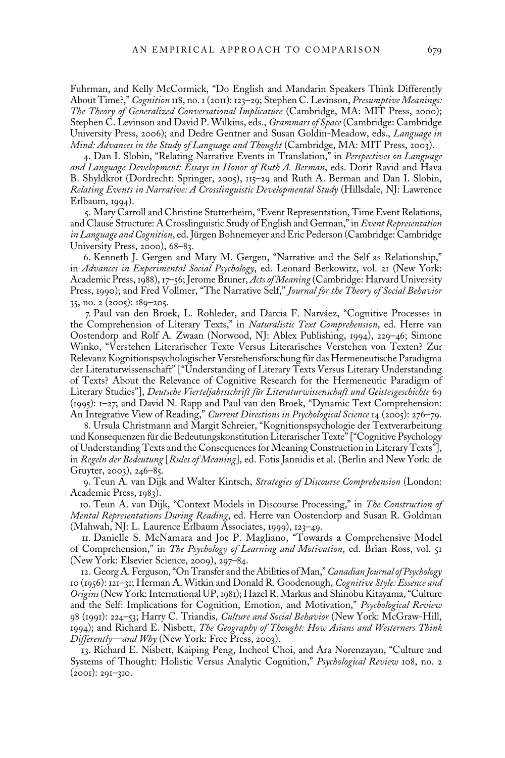Fuhrman, and Kelly McCormick, "Do English and Mandarin Speakers Think Differently About Time?," *Cognition* 118, no. 1 (2011): 123–29; Stephen C. Levinson, *Presumptive Meanings: The Theory of Generalized Conversational Implicature* (Cambridge, MA: MIT Press, 2000); Stephen C. Levinson and David P. Wilkins, eds., *Grammars of Space* (Cambridge: Cambridge University Press, 2006); and Dedre Gentner and Susan Goldin-Meadow, eds., *Language in Mind: Advances in the Study of Language and Thought* (Cambridge, MA: MIT Press, 2003).

4. Dan I. Slobin, "Relating Narrative Events in Translation," in *Perspectives on Language and Language Development: Essays in Honor of Ruth A. Berman*, eds. Dorit Ravid and Hava B. Shyldkrot (Dordrecht: Springer, 2005), 115–29 and Ruth A. Berman and Dan I. Slobin, *Relating Events in Narrative: A Crosslinguistic Developmental Study* (Hillsdale, NJ: Lawrence Erlbaum, 1994).

5. Mary Carroll and Christine Stutterheim, "Event Representation, Time Event Relations, and Clause Structure: A Crosslinguistic Study of English and German," in *Event Representation in Language and Cognition*, ed. Jürgen Bohnemeyer and Eric Pederson (Cambridge: Cambridge University Press, 2000), 68–83.

6. Kenneth J. Gergen and Mary M. Gergen, "Narrative and the Self as Relationship," in *Advances in Experimental Social Psychology*, ed. Leonard Berkowitz, vol. 21 (New York: Academic Press, 1988), 17–56; Jerome Bruner, *Acts of Meaning* (Cambridge: Harvard University Press, 1990); and Fred Vollmer, "The Narrative Self," *Journal for the Theory of Social Behavior* 35, no. 2 (2005): 189–205.

7. Paul van den Broek, L. Rohleder, and Darcia F. Narváez, "Cognitive Processes in the Comprehension of Literary Texts," in *Naturalistic Text Comprehension*, ed. Herre van Oostendorp and Rolf A. Zwaan (Norwood, NJ: Ablex Publishing, 1994), 229–46; Simone Winko, "Verstehen Literarischer Texte Versus Literarisches Verstehen von Texten? Zur Relevanz Kognitionspsychologischer Verstehensforschung für das Hermeneutische Paradigma der Literaturwissenschaft" ["Understanding of Literary Texts Versus Literary Understanding of Texts? About the Relevance of Cognitive Research for the Hermeneutic Paradigm of Literary Studies"], *Deutsche Vierteljahrsschrift für Literaturwissenschaft und Geistesgeschichte* 69 (1995): 1–27; and David N. Rapp and Paul van den Broek, "Dynamic Text Comprehension: An Integrative View of Reading," *Current Directions in Psychological Science* 14 (2005): 276–79.

8. Ursula Christmann and Margit Schreier, "Kognitionspsychologie der Textverarbeitung und Konsequenzen für die Bedeutungskonstitution Literarischer Texte" ["Cognitive Psychology of Understanding Texts and the Consequences for Meaning Construction in Literary Texts"], in *Regeln der Bedeutung* [*Rules of Meaning*], ed. Fotis Jannidis et al. (Berlin and New York: de Gruyter, 2003), 246–85.

9. Teun A. van Dijk and Walter Kintsch, *Strategies of Discourse Comprehension* (London: Academic Press, 1983).

10. Teun A. van Dijk, "Context Models in Discourse Processing," in *The Construction of Mental Representations During Reading*, ed. Herre van Oostendorp and Susan R. Goldman (Mahwah, NJ: L. Laurence Erlbaum Associates, 1999), 123–49.

11. Danielle S. McNamara and Joe P. Magliano, "Towards a Comprehensive Model of Comprehension," in *The Psychology of Learning and Motivation*, ed. Brian Ross, vol. 51 (New York: Elsevier Science, 2009), 297–84.

12. Georg A. Ferguson, "On Transfer and the Abilities of Man," *Canadian Journal of Psychology* 10 (1956): 121–31; Herman A. Witkin and Donald R. Goodenough, *Cognitive Style: Essence and Origins* (New York: International UP, 1981); Hazel R. Markus and Shinobu Kitayama, "Culture and the Self: Implications for Cognition, Emotion, and Motivation," *Psychological Review* 98 (1991): 224–53; Harry C. Triandis, *Culture and Social Behavior* (New York: McGraw-Hill, 1994); and Richard E. Nisbett, *The Geography of Thought: How Asians and Westerners Think Differently—and Why* (New York: Free Press, 2003).

13. Richard E. Nisbett, Kaiping Peng, Incheol Choi, and Ara Norenzayan, "Culture and Systems of Thought: Holistic Versus Analytic Cognition," *Psychological Review* 108, no. 2  $(2001): 29I-3I0.$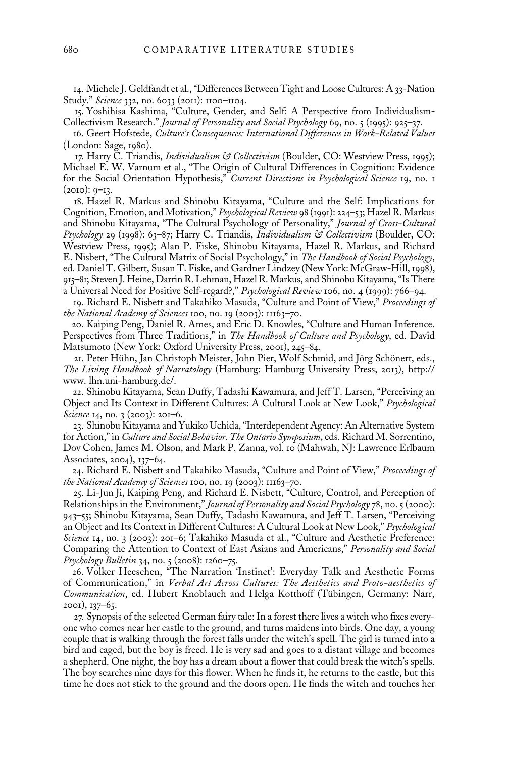14. Michele J. Geldfandt et al., "Differences Between Tight and Loose Cultures: A 33-Nation Study." *Science* 332, no. 6033 (2011): 1100–1104.

15. Yoshihisa Kashima, "Culture, Gender, and Self: A Perspective from Individualism-Collectivism Research." *Journal of Personality and Social Psychology* 69, no. 5 (1995): 925–37.

16. Geert Hofstede, *Culture's Consequences: International Differences in Work-Related Values* (London: Sage, 1980).

17. Harry C. Triandis, *Individualism & Collectivism* (Boulder, CO: Westview Press, 1995); Michael E. W. Varnum et al., "The Origin of Cultural Differences in Cognition: Evidence for the Social Orientation Hypothesis," *Current Directions in Psychological Science* 19, no. 1 (2010): 9–13.

18. Hazel R. Markus and Shinobu Kitayama, "Culture and the Self: Implications for Cognition, Emotion, and Motivation," *Psychological Review* 98 (1991): 224–53; Hazel R. Markus and Shinobu Kitayama, "The Cultural Psychology of Personality," *Journal of Cross-Cultural Psychology* 29 (1998): 63–87; Harry C. Triandis, *Individualism & Collectivism* (Boulder, CO: Westview Press, 1995); Alan P. Fiske, Shinobu Kitayama, Hazel R. Markus, and Richard E. Nisbett, "The Cultural Matrix of Social Psychology," in *The Handbook of Social Psychology*, ed. Daniel T. Gilbert, Susan T. Fiske, and Gardner Lindzey (New York: McGraw-Hill, 1998), 915–81; Steven J. Heine, Darrin R. Lehman, Hazel R. Markus, and Shinobu Kitayama, "Is There a Universal Need for Positive Self-regard?," *Psychological Review* 106, no. 4 (1999): 766–94.

19. Richard E. Nisbett and Takahiko Masuda, "Culture and Point of View," *Proceedings of the National Academy of Sciences* 100, no. 19 (2003): 11163–70.

20. Kaiping Peng, Daniel R. Ames, and Eric D. Knowles, "Culture and Human Inference. Perspectives from Three Traditions," in *The Handbook of Culture and Psychology*, ed. David Matsumoto (New York: Oxford University Press, 2001), 245–84.

21. Peter Hühn, Jan Christoph Meister, John Pier, Wolf Schmid, and Jörg Schönert, eds., *The Living Handbook of Narratology* (Hamburg: Hamburg University Press, 2013), [http://](http://www. lhn.uni-hamburg.de/) www. [lhn.uni-hamburg.de/.](http://www. lhn.uni-hamburg.de/)

22. Shinobu Kitayama, Sean Duffy, Tadashi Kawamura, and Jeff T. Larsen, "Perceiving an Object and Its Context in Different Cultures: A Cultural Look at New Look," *Psychological Science* 14, no. 3 (2003): 201–6.

23. Shinobu Kitayama and Yukiko Uchida, "Interdependent Agency: An Alternative System for Action," in *Culture and Social Behavior. The Ontario Symposium*, eds. Richard M. Sorrentino, Dov Cohen, James M. Olson, and Mark P. Zanna, vol. 10 (Mahwah, NJ: Lawrence Erlbaum Associates, 2004), 137–64.

24. Richard E. Nisbett and Takahiko Masuda, "Culture and Point of View," *Proceedings of the National Academy of Sciences* 100, no. 19 (2003): 11163–70.

25. Li-Jun Ji, Kaiping Peng, and Richard E. Nisbett, "Culture, Control, and Perception of Relationships in the Environment," *Journal of Personality and Social Psychology* 78, no. 5 (2000): 943–55; Shinobu Kitayama, Sean Duffy, Tadashi Kawamura, and Jeff T. Larsen, "Perceiving an Object and Its Context in Different Cultures: A Cultural Look at New Look," *Psychological Science* 14, no. 3 (2003): 201–6; Takahiko Masuda et al., "Culture and Aesthetic Preference: Comparing the Attention to Context of East Asians and Americans," *Personality and Social Psychology Bulletin* 34, no. 5 (2008): 1260–75.

26. Volker Heeschen, "The Narration 'Instinct': Everyday Talk and Aesthetic Forms of Communication," in *Verbal Art Across Cultures: The Aesthetics and Proto-aesthetics of Communication*, ed. Hubert Knoblauch and Helga Kotthoff (Tübingen, Germany: Narr, 2001), 137–65.

27. Synopsis of the selected German fairy tale: In a forest there lives a witch who fixes everyone who comes near her castle to the ground, and turns maidens into birds. One day, a young couple that is walking through the forest falls under the witch's spell. The girl is turned into a bird and caged, but the boy is freed. He is very sad and goes to a distant village and becomes a shepherd. One night, the boy has a dream about a flower that could break the witch's spells. The boy searches nine days for this flower. When he finds it, he returns to the castle, but this time he does not stick to the ground and the doors open. He finds the witch and touches her